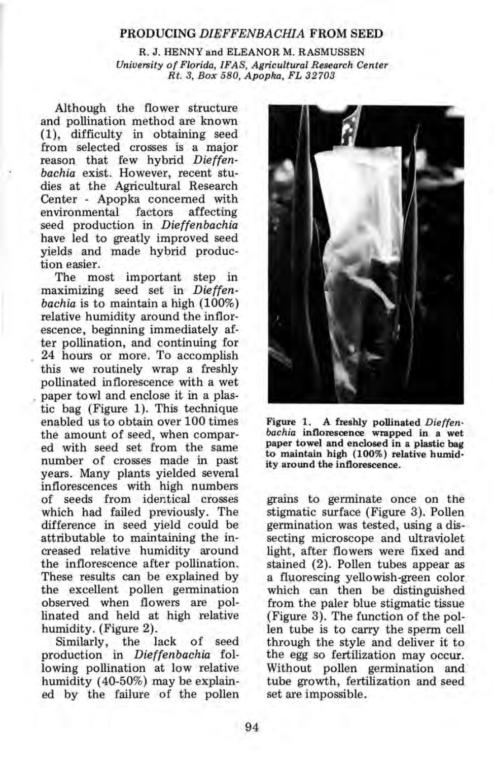## PRODUCING *DIEFFENBACHIA* FROM SEED

R. J. HENNY and ELEANOR M. RASMUSSEN *University of Florida, IFAS, Agricultural Research Center Rt.* 3, *Box 580, Apopka, FL 32703* 

Although the flower structure and pollination method are known (1), difficulty in obtaining seed from selected crosses is a major reason that few hybrid *Dieffenbachia* exist. However, recent studies at the Agricultural Research Center - Apopka concerned with<br>environmental factors affecting environmental seed production in *Dieffenbachia*  have led to greatly improved seed yields and made hybrid production easier.

The most im portant step in maximizing seed set in *Dieffenbachia* is to maintain a high (100%) relative humidity around the inflorescence, beginning immediately after pollination, and continuing for 24 hours or more. To accomplish this we routinely wrap a freshly pollinated inflorescence with a wet paper towl and enclose it in a plastic bag (Figure 1). This technique enabled us to obtain over 100 times the amount of seed, when compared with seed set from the same number of crosses made in past years. Many plants yielded several inflorescences with high numbers of seeds from identical crosses which had failed previously. The difference in seed yield could be attributable to maintaining the increased relative humidity around the inflorescence after pollination. These results can be explained by the excellent pollen germination observed when flowers are pollinated and held at high relative humidity. (Figure 2).

Similarly, the lack of seed production in *Dieffenbachia* following pollination at low relative humidity (40-50%) may be explained by the failure of the pollen



Figure 1. A freshly pollinated *Dieffenbachia* inflorescence wrapped in a wet paper towel and enclosed in a plastic bag to maintain high (100%) relative humidity around the inflorescence.

grains to germinate once on the stigmatic surface (Figure 3). Pollen germination was tested, using a dissecting microscope and ultraviolet light, after flowers were fixed and stained (2). Pollen tubes appear as a fluorescing yellowish-green color which can then be distinguished from the paler blue stigmatic tissue (Figure 3). The function of the pollen tube is to carry the sperm cell through the style and deliver it to the egg so fertilization may occur. Without pollen germination and tube growth, fertilization and seed set are impossible.